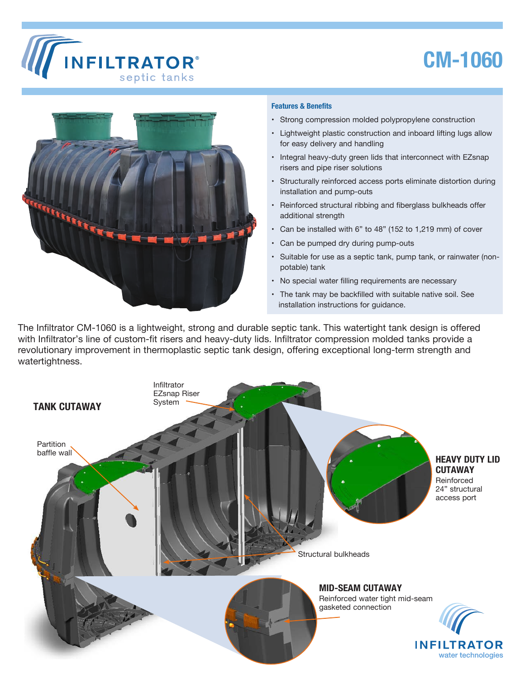

## **CM-1060**



## **Features & Benefits**

- Strong compression molded polypropylene construction
- Lightweight plastic construction and inboard lifting lugs allow for easy delivery and handling
- Integral heavy-duty green lids that interconnect with EZsnap risers and pipe riser solutions
- Structurally reinforced access ports eliminate distortion during installation and pump-outs
- Reinforced structural ribbing and fiberglass bulkheads offer additional strength
- Can be installed with 6" to 48" (152 to 1,219 mm) of cover
- Can be pumped dry during pump-outs
- Suitable for use as a septic tank, pump tank, or rainwater (nonpotable) tank
- No special water filling requirements are necessary
- The tank may be backfilled with suitable native soil. See installation instructions for guidance.

The Infiltrator CM-1060 is a lightweight, strong and durable septic tank. This watertight tank design is offered with Infiltrator's line of custom-fit risers and heavy-duty lids. Infiltrator compression molded tanks provide a revolutionary improvement in thermoplastic septic tank design, offering exceptional long-term strength and watertightness.